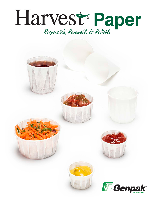